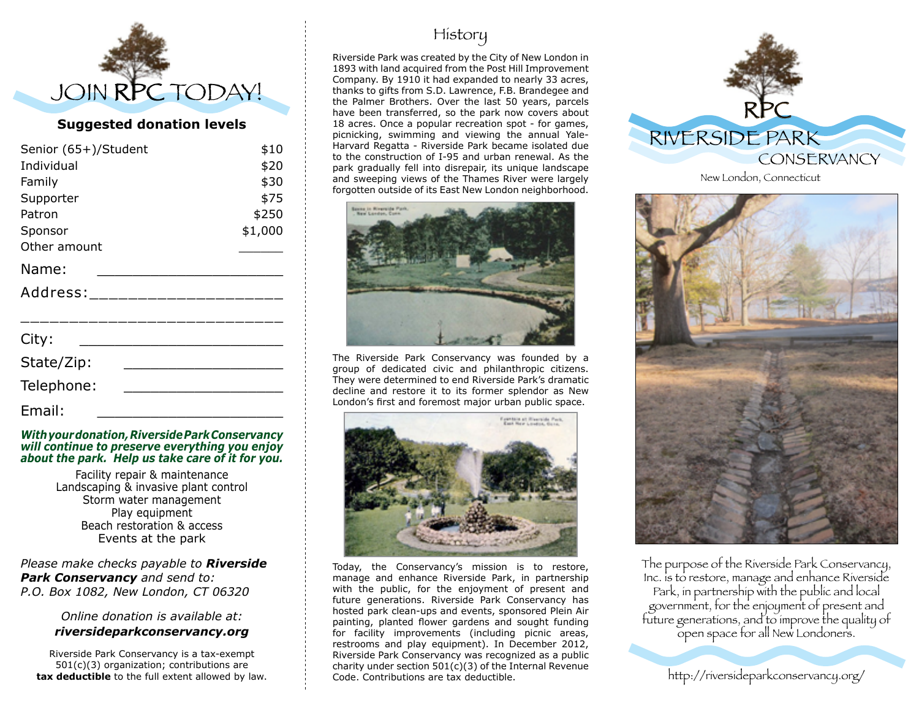

### **Suggested donation levels**

| Senior (65+)/Student      | \$10    |
|---------------------------|---------|
| Individual                | \$20    |
| Family                    | \$30    |
| Supporter                 | \$75    |
| Patron                    | \$250   |
| Sponsor                   | \$1,000 |
| Other amount              |         |
| Name:                     |         |
| Address: ________________ |         |
| City:                     |         |
| State/Zip:                |         |
| Telephone:                |         |
| Email:                    |         |

#### *With your donation, Riverside Park Conservancy will continue to preserve everything you enjoy about the park. Help us take care of it for you.*

Facility repair & maintenance Landscaping & invasive plant control Storm water management Play equipment Beach restoration & access Events at the park

*Please make checks payable to Riverside Park Conservancy and send to: P.O. Box 1082, New London, CT 06320*

#### *Online donation is available at: riversideparkconservancy.org*

Riverside Park Conservancy is a tax-exempt 501(c)(3) organization; contributions are **tax deductible** to the full extent allowed by law.

# History

Riverside Park was created by the City of New London in 1893 with land acquired from the Post Hill Improvement Company. By 1910 it had expanded to nearly 33 acres, thanks to gifts from S.D. Lawrence, F.B. Brandegee and the Palmer Brothers. Over the last 50 years, parcels have been transferred, so the park now covers about 18 acres. Once a popular recreation spot - for games, picnicking, swimming and viewing the annual Yale-Harvard Regatta - Riverside Park became isolated due to the construction of I-95 and urban renewal. As the park gradually fell into disrepair, its unique landscape and sweeping views of the Thames River were largely forgotten outside of its East New London neighborhood.



The Riverside Park Conservancy was founded by a group of dedicated civic and philanthropic citizens. They were determined to end Riverside Park's dramatic decline and restore it to its former splendor as New London's first and foremost major urban public space.



Today, the Conservancy's mission is to restore, manage and enhance Riverside Park, in partnership with the public, for the enjoyment of present and future generations. Riverside Park Conservancy has hosted park clean-ups and events, sponsored Plein Air painting, planted flower gardens and sought funding for facility improvements (including picnic areas, restrooms and play equipment). In December 2012, Riverside Park Conservancy was recognized as a public charity under section 501(c)(3) of the Internal Revenue Code. Contributions are tax deductible.



New London, Connecticut



The purpose of the Riverside Park Conservancy, Inc. is to restore, manage and enhance Riverside Park, in partnership with the public and local government, for the enjoyment of present and future generations, and to improve the quality of open space for all New Londoners.

http://riversideparkconservancy.org/